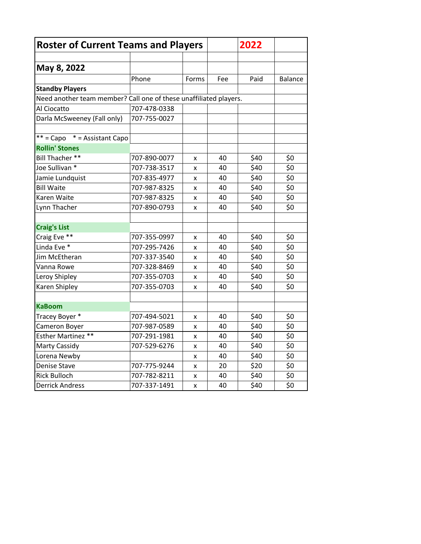| <b>Roster of Current Teams and Players</b>                        |              |                    |     | 2022 |                |
|-------------------------------------------------------------------|--------------|--------------------|-----|------|----------------|
|                                                                   |              |                    |     |      |                |
| May 8, 2022                                                       |              |                    |     |      |                |
|                                                                   | Phone        | Forms              | Fee | Paid | <b>Balance</b> |
| <b>Standby Players</b>                                            |              |                    |     |      |                |
| Need another team member? Call one of these unaffiliated players. |              |                    |     |      |                |
| Al Ciocatto                                                       | 707-478-0338 |                    |     |      |                |
| Darla McSweeney (Fall only)                                       | 707-755-0027 |                    |     |      |                |
| $**$ = Capo $*$ = Assistant Capo                                  |              |                    |     |      |                |
| <b>Rollin' Stones</b>                                             |              |                    |     |      |                |
| Bill Thacher **                                                   | 707-890-0077 | X                  | 40  | \$40 | \$0            |
| Joe Sullivan *                                                    | 707-738-3517 | x                  | 40  | \$40 | \$0            |
| Jamie Lundquist                                                   | 707-835-4977 | x                  | 40  | \$40 | \$0            |
| <b>Bill Waite</b>                                                 | 707-987-8325 | x                  | 40  | \$40 | \$0            |
| Karen Waite                                                       | 707-987-8325 | x                  | 40  | \$40 | \$0            |
| Lynn Thacher                                                      | 707-890-0793 | x                  | 40  | \$40 | \$0            |
| <b>Craig's List</b>                                               |              |                    |     |      |                |
| Craig Eve **                                                      | 707-355-0997 | X                  | 40  | \$40 | \$0            |
| Linda Eve *                                                       | 707-295-7426 | x                  | 40  | \$40 | \$0            |
| Jim McEtheran                                                     | 707-337-3540 | x                  | 40  | \$40 | \$0            |
| Vanna Rowe                                                        | 707-328-8469 | x                  | 40  | \$40 | \$0            |
| Leroy Shipley                                                     | 707-355-0703 | x                  | 40  | \$40 | \$0            |
| Karen Shipley                                                     | 707-355-0703 | x                  | 40  | \$40 | \$0            |
| <b>KaBoom</b>                                                     |              |                    |     |      |                |
| Tracey Boyer *                                                    | 707-494-5021 | x                  | 40  | \$40 | \$0            |
| Cameron Boyer                                                     | 707-987-0589 | x                  | 40  | \$40 | \$0            |
| Esther Martinez **                                                | 707-291-1981 | x                  | 40  | \$40 | \$0            |
| <b>Marty Cassidy</b>                                              | 707-529-6276 | $\pmb{\mathsf{x}}$ | 40  | \$40 | \$0            |
| Lorena Newby                                                      |              | x                  | 40  | \$40 | \$0            |
| Denise Stave                                                      | 707-775-9244 | X                  | 20  | \$20 | \$0            |
| <b>Rick Bulloch</b>                                               | 707-782-8211 | x                  | 40  | \$40 | \$0            |
| <b>Derrick Andress</b>                                            | 707-337-1491 | X                  | 40  | \$40 | \$0            |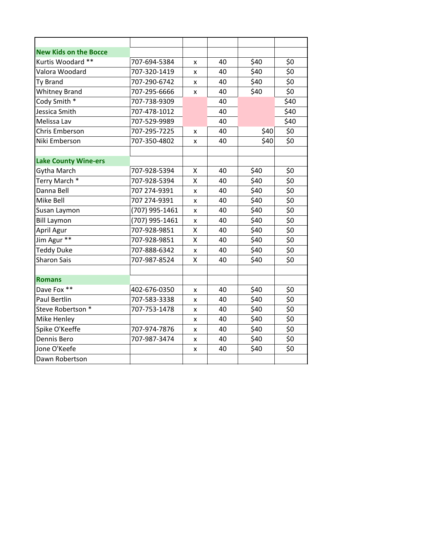| <b>New Kids on the Bocce</b> |                |   |    |      |                    |
|------------------------------|----------------|---|----|------|--------------------|
| Kurtis Woodard **            | 707-694-5384   | x | 40 | \$40 | \$0                |
| Valora Woodard               | 707-320-1419   | x | 40 | \$40 | \$0                |
| Ty Brand                     | 707-290-6742   | x | 40 | \$40 | \$0                |
| <b>Whitney Brand</b>         | 707-295-6666   | x | 40 | \$40 | \$0                |
| Cody Smith *                 | 707-738-9309   |   | 40 |      | \$40               |
| Jessica Smith                | 707-478-1012   |   | 40 |      | \$40               |
| Melissa Lav                  | 707-529-9989   |   | 40 |      | \$40               |
| <b>Chris Emberson</b>        | 707-295-7225   | x | 40 | \$40 | \$0                |
| Niki Emberson                | 707-350-4802   | x | 40 | \$40 | \$0                |
|                              |                |   |    |      |                    |
| <b>Lake County Wine-ers</b>  |                |   |    |      |                    |
| Gytha March                  | 707-928-5394   | X | 40 | \$40 | \$0                |
| Terry March *                | 707-928-5394   | Χ | 40 | \$40 | $\overline{\xi_0}$ |
| Danna Bell                   | 707 274-9391   | x | 40 | \$40 | \$0                |
| Mike Bell                    | 707 274-9391   | x | 40 | \$40 | \$0                |
| Susan Laymon                 | (707) 995-1461 | x | 40 | \$40 | \$0                |
| <b>Bill Laymon</b>           | (707) 995-1461 | x | 40 | \$40 | \$0                |
| April Agur                   | 707-928-9851   | Χ | 40 | \$40 | $\overline{\xi_0}$ |
| Jim Agur **                  | 707-928-9851   | Χ | 40 | \$40 | \$0                |
| <b>Teddy Duke</b>            | 707-888-6342   | X | 40 | \$40 | \$0                |
| <b>Sharon Sais</b>           | 707-987-8524   | X | 40 | \$40 | \$0                |
|                              |                |   |    |      |                    |
| <b>Romans</b>                |                |   |    |      |                    |
| Dave Fox **                  | 402-676-0350   | x | 40 | \$40 | \$0                |
| <b>Paul Bertlin</b>          | 707-583-3338   | x | 40 | \$40 | \$0                |
| Steve Robertson *            | 707-753-1478   | x | 40 | \$40 | \$0                |
| Mike Henley                  |                | x | 40 | \$40 | \$0                |
| Spike O'Keeffe               | 707-974-7876   | x | 40 | \$40 | \$0                |
| Dennis Bero                  | 707-987-3474   | x | 40 | \$40 | \$0                |
| Jone O'Keefe                 |                | x | 40 | \$40 | \$0                |
| Dawn Robertson               |                |   |    |      |                    |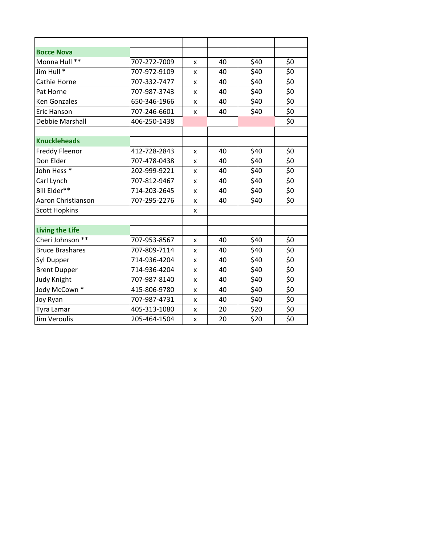| <b>Bocce Nova</b>      |              |   |    |      |                    |
|------------------------|--------------|---|----|------|--------------------|
| Monna Hull **          | 707-272-7009 | x | 40 | \$40 | \$0                |
| Jim Hull *             | 707-972-9109 | x | 40 | \$40 | \$0                |
| Cathie Horne           | 707-332-7477 | x | 40 | \$40 | \$0                |
| Pat Horne              | 707-987-3743 | x | 40 | \$40 | \$0                |
| <b>Ken Gonzales</b>    | 650-346-1966 | x | 40 | \$40 | \$0                |
| Eric Hanson            | 707-246-6601 | x | 40 | \$40 | \$0                |
| Debbie Marshall        | 406-250-1438 |   |    |      | \$0                |
|                        |              |   |    |      |                    |
| <b>Knuckleheads</b>    |              |   |    |      |                    |
| Freddy Fleenor         | 412-728-2843 | x | 40 | \$40 | \$0                |
| Don Elder              | 707-478-0438 | x | 40 | \$40 | \$0                |
| John Hess <sup>*</sup> | 202-999-9221 | x | 40 | \$40 | \$0                |
| Carl Lynch             | 707-812-9467 | x | 40 | \$40 | \$0                |
| Bill Elder**           | 714-203-2645 | x | 40 | \$40 | \$0                |
| Aaron Christianson     | 707-295-2276 | x | 40 | \$40 | \$0                |
| <b>Scott Hopkins</b>   |              | x |    |      |                    |
|                        |              |   |    |      |                    |
| <b>Living the Life</b> |              |   |    |      |                    |
| Cheri Johnson **       | 707-953-8567 | x | 40 | \$40 | \$0                |
| <b>Bruce Brashares</b> | 707-809-7114 | x | 40 | \$40 | \$0                |
| Syl Dupper             | 714-936-4204 | x | 40 | \$40 | \$0                |
| <b>Brent Dupper</b>    | 714-936-4204 | x | 40 | \$40 | \$0                |
| <b>Judy Knight</b>     | 707-987-8140 | x | 40 | \$40 | \$0                |
| Jody McCown *          | 415-806-9780 | x | 40 | \$40 | \$0                |
| Joy Ryan               | 707-987-4731 | x | 40 | \$40 | $\overline{\xi_0}$ |
| Tyra Lamar             | 405-313-1080 | x | 20 | \$20 | \$0                |
| <b>Jim Veroulis</b>    | 205-464-1504 | x | 20 | \$20 | \$0                |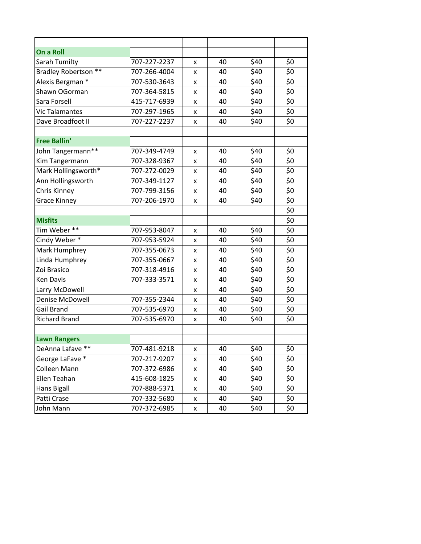| On a Roll                         |              |   |    |      |     |
|-----------------------------------|--------------|---|----|------|-----|
| Sarah Tumilty                     | 707-227-2237 | x | 40 | \$40 | \$0 |
| <b>Bradley Robertson</b><br>$***$ | 707-266-4004 | x | 40 | \$40 | \$0 |
| Alexis Bergman *                  | 707-530-3643 | x | 40 | \$40 | \$0 |
| Shawn OGorman                     | 707-364-5815 | x | 40 | \$40 | \$0 |
| Sara Forsell                      | 415-717-6939 | x | 40 | \$40 | \$0 |
| Vic Talamantes                    | 707-297-1965 | x | 40 | \$40 | \$0 |
| Dave Broadfoot II                 | 707-227-2237 | x | 40 | \$40 | \$0 |
|                                   |              |   |    |      |     |
| <b>Free Ballin'</b>               |              |   |    |      |     |
| John Tangermann**                 | 707-349-4749 | x | 40 | \$40 | \$0 |
| Kim Tangermann                    | 707-328-9367 | x | 40 | \$40 | \$0 |
| Mark Hollingsworth*               | 707-272-0029 | x | 40 | \$40 | \$0 |
| Ann Hollingsworth                 | 707-349-1127 | x | 40 | \$40 | \$0 |
| Chris Kinney                      | 707-799-3156 | x | 40 | \$40 | \$0 |
| <b>Grace Kinney</b>               | 707-206-1970 | x | 40 | \$40 | \$0 |
|                                   |              |   |    |      | \$0 |
| <b>Misfits</b>                    |              |   |    |      | \$0 |
| Tim Weber**                       | 707-953-8047 | x | 40 | \$40 | \$0 |
| Cindy Weber*                      | 707-953-5924 | x | 40 | \$40 | \$0 |
| Mark Humphrey                     | 707-355-0673 | x | 40 | \$40 | \$0 |
| Linda Humphrey                    | 707-355-0667 | x | 40 | \$40 | \$0 |
| Zoi Brasico                       | 707-318-4916 | x | 40 | \$40 | \$0 |
| <b>Ken Davis</b>                  | 707-333-3571 | x | 40 | \$40 | \$0 |
| Larry McDowell                    |              | x | 40 | \$40 | \$0 |
| Denise McDowell                   | 707-355-2344 | x | 40 | \$40 | \$0 |
| Gail Brand                        | 707-535-6970 | x | 40 | \$40 | \$0 |
| <b>Richard Brand</b>              | 707-535-6970 | x | 40 | \$40 | \$0 |
|                                   |              |   |    |      |     |
| <b>Lawn Rangers</b>               |              |   |    |      |     |
| DeAnna Lafave **                  | 707-481-9218 | X | 40 | \$40 | \$0 |
| George LaFave *                   | 707-217-9207 | x | 40 | \$40 | \$0 |
| Colleen Mann                      | 707-372-6986 | x | 40 | \$40 | \$0 |
| Ellen Teahan                      | 415-608-1825 | X | 40 | \$40 | \$0 |
| <b>Hans Bigall</b>                | 707-888-5371 | x | 40 | \$40 | \$0 |
| Patti Crase                       | 707-332-5680 | X | 40 | \$40 | \$0 |
| John Mann                         | 707-372-6985 | x | 40 | \$40 | \$0 |